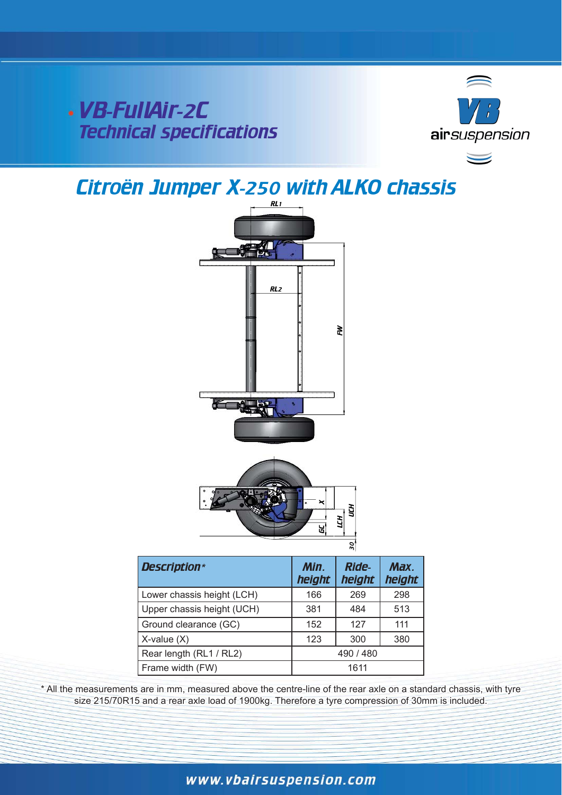## VB-FullAir-2C Technical specifications



# Citroën Jumper X-250 with ALKO chassis



|                            |                | ଳା                     |                |
|----------------------------|----------------|------------------------|----------------|
| <b>Description*</b>        | Min.<br>height | <b>Ride-</b><br>height | Max.<br>height |
| Lower chassis height (LCH) | 166            | 269                    | 298            |
| Upper chassis height (UCH) | 381            | 484                    | 513            |
| Ground clearance (GC)      | 152            | 127                    | 111            |
| $X$ -value $(X)$           | 123            | 300                    | 380            |
| Rear length (RL1 / RL2)    | 490 / 480      |                        |                |
| Frame width (FW)           | 1611           |                        |                |

\*&

/&+

\* All the measurements are in mm, measured above the centre-line of the rear axle on a standard chassis, with tyre size 215/70R15 and a rear axle load of 1900kg. Therefore a tyre compression of 30mm is included.

### www.vbairsuspension.com